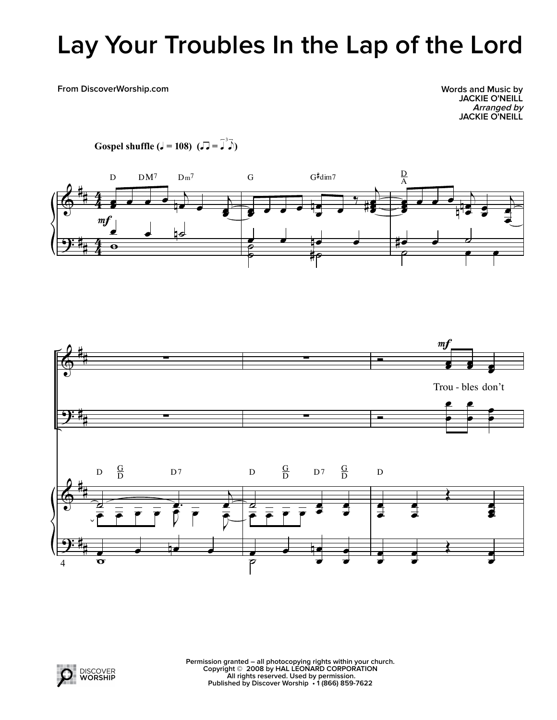## **Lay Your Troubles In the Lap of the Lord**

**From DiscoverWorship.com**

**Words and Music by JACKIE O'NEILL Arranged by JACKIE O'NEILL**



**Gospel shuffle (** $J = 108$ )  $(J = \overline{J}^3 \overline{J})$ 



|<br>H

I Q⊥ a<br>O  $\bullet$   $\bullet$ 

 $\Delta$ 

**Permission granted – all photocopying rights within your church. Copyright © 2008 by HAL LEONARD CORPORATION All rights reserved. Used by permission. Published by Discover Worship • 1 (866) 859-7622**

 $\begin{array}{c|c} \bullet & \bullet \\ \hline \bullet & \bullet \end{array}$ 

œ i<br>|<br>|<br>|

œ

œ œ œ œ  $\begin{array}{|c|c|c|}\n\hline\n\text{C} & \text{C} & \text{C} & \text{C} & \text{C} & \text{C} & \text{C} & \text{C} & \text{C} & \text{C} & \text{C} & \text{C} & \text{C} & \text{C} & \text{C} & \text{C} & \text{C} & \text{C} & \text{C} & \text{C} & \text{C} & \text{C} & \text{C} & \text{C} & \text{C} & \text{C} & \text{C} & \text{C} & \text{C} & \text{C} & \text{C} & \text{C} & \text{C} & \text{C$ 

œ

œ ø<br>P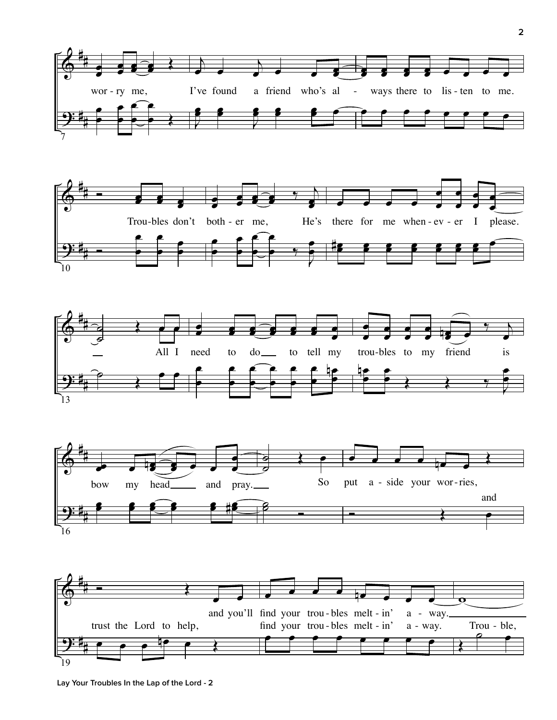







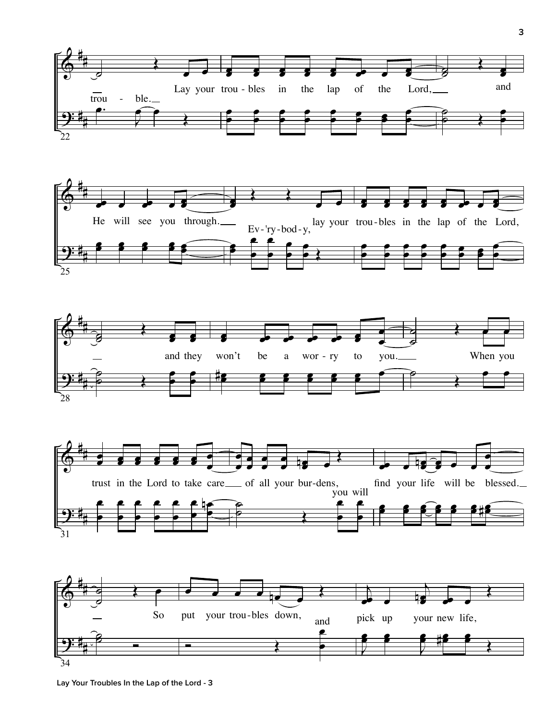









**Lay Your Troubles In the Lap of the Lord - 3**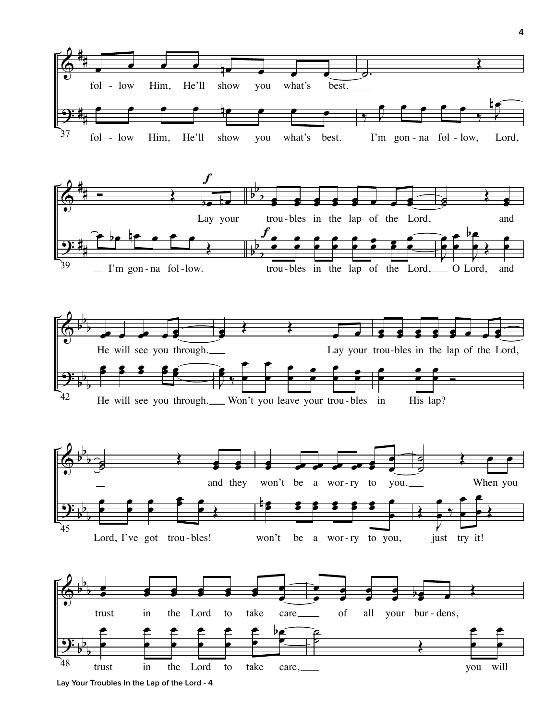

**Lay Your Troubles In the Lap of the Lord - 4**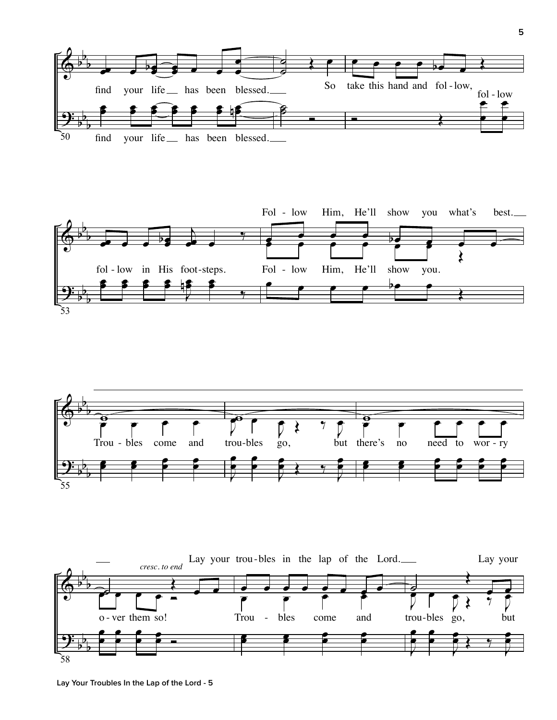